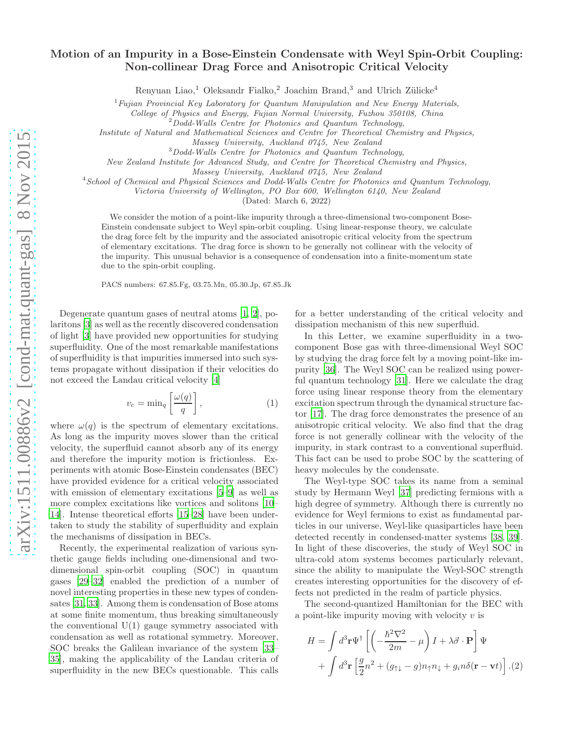## Motion of an Impurity in a Bose-Einstein Condensate with Weyl Spin-Orbit Coupling: Non-collinear Drag Force and Anisotropic Critical Velocity

Renyuan Liao,<sup>1</sup> Oleksandr Fialko,<sup>2</sup> Joachim Brand,<sup>3</sup> and Ulrich Zülicke<sup>4</sup>

 $1$ Fujian Provincial Key Laboratory for Quantum Manipulation and New Energy Materials,

College of Physics and Energy, Fujian Normal University, Fuzhou 350108, China

 $^{2}$ Dodd-Walls Centre for Photonics and Quantum Technology,

Institute of Natural and Mathematical Sciences and Centre for Theoretical Chemistry and Physics,

<sup>3</sup>Dodd-Walls Centre for Photonics and Quantum Technology,

New Zealand Institute for Advanced Study, and Centre for Theoretical Chemistry and Physics,

Massey University, Auckland 0745, New Zealand

<sup>4</sup>School of Chemical and Physical Sciences and Dodd-Walls Centre for Photonics and Quantum Technology,

Victoria University of Wellington, PO Box 600, Wellington 6140, New Zealand

(Dated: March 6, 2022)

We consider the motion of a point-like impurity through a three-dimensional two-component Bose-Einstein condensate subject to Weyl spin-orbit coupling. Using linear-response theory, we calculate the drag force felt by the impurity and the associated anisotropic critical velocity from the spectrum of elementary excitations. The drag force is shown to be generally not collinear with the velocity of the impurity. This unusual behavior is a consequence of condensation into a finite-momentum state due to the spin-orbit coupling.

PACS numbers: 67.85.Fg, 03.75.Mn, 05.30.Jp, 67.85.Jk

Degenerate quantum gases of neutral atoms [\[1](#page-4-0), [2](#page-4-1)], polaritons [\[3\]](#page-4-2) as well as the recently discovered condensation of light [\[3\]](#page-4-2) have provided new opportunities for studying superfluidity. One of the most remarkable manifestations of superfluidity is that impurities immersed into such systems propagate without dissipation if their velocities do not exceed the Landau critical velocity [\[4\]](#page-4-3)

$$
v_c = \min_q \left[ \frac{\omega(q)}{q} \right],\tag{1}
$$

where  $\omega(q)$  is the spectrum of elementary excitations. As long as the impurity moves slower than the critical velocity, the superfluid cannot absorb any of its energy and therefore the impurity motion is frictionless. Experiments with atomic Bose-Einstein condensates (BEC) have provided evidence for a critical velocity associated with emission of elementary excitations [\[5](#page-4-4)[–9\]](#page-4-5) as well as more complex excitations like vortices and solitons [\[10](#page-4-6)– [14\]](#page-4-7). Intense theoretical efforts [\[15](#page-4-8)[–28\]](#page-4-9) have been undertaken to study the stability of superfluidity and explain the mechanisms of dissipation in BECs.

Recently, the experimental realization of various synthetic gauge fields including one-dimensional and twodimensional spin-orbit coupling (SOC) in quantum gases [\[29](#page-4-10)[–32\]](#page-4-11) enabled the prediction of a number of novel interesting properties in these new types of condensates [\[31](#page-4-12), [33\]](#page-4-13). Among them is condensation of Bose atoms at some finite momentum, thus breaking simultaneously the conventional  $U(1)$  gauge symmetry associated with condensation as well as rotational symmetry. Moreover, SOC breaks the Galilean invariance of the system [\[33](#page-4-13)– [35\]](#page-4-14), making the applicability of the Landau criteria of superfluidity in the new BECs questionable. This calls

for a better understanding of the critical velocity and dissipation mechanism of this new superfluid.

In this Letter, we examine superfluidity in a twocomponent Bose gas with three-dimensional Weyl SOC by studying the drag force felt by a moving point-like impurity [\[36\]](#page-4-15). The Weyl SOC can be realized using powerful quantum technology [\[31](#page-4-12)]. Here we calculate the drag force using linear response theory from the elementary excitation spectrum through the dynamical structure factor [\[17\]](#page-4-16). The drag force demonstrates the presence of an anisotropic critical velocity. We also find that the drag force is not generally collinear with the velocity of the impurity, in stark contrast to a conventional superfluid. This fact can be used to probe SOC by the scattering of heavy molecules by the condensate.

The Weyl-type SOC takes its name from a seminal study by Hermann Weyl [\[37\]](#page-4-17) predicting fermions with a high degree of symmetry. Although there is currently no evidence for Weyl fermions to exist as fundamental particles in our universe, Weyl-like quasiparticles have been detected recently in condensed-matter systems [\[38,](#page-4-18) [39\]](#page-4-19). In light of these discoveries, the study of Weyl SOC in ultra-cold atom systems becomes particularly relevant, since the ability to manipulate the Weyl-SOC strength creates interesting opportunities for the discovery of effects not predicted in the realm of particle physics.

The second-quantized Hamiltonian for the BEC with a point-like impurity moving with velocity  $v$  is

<span id="page-0-0"></span>
$$
H = \int d^3 \mathbf{r} \Psi^{\dagger} \left[ \left( -\frac{\hbar^2 \nabla^2}{2m} - \mu \right) I + \lambda \vec{\sigma} \cdot \mathbf{P} \right] \Psi
$$

$$
+ \int d^3 \mathbf{r} \left[ \frac{g}{2} n^2 + (g_{\uparrow \downarrow} - g) n_{\uparrow} n_{\downarrow} + g_i n \delta(\mathbf{r} - \mathbf{v} t) \right]. (2)
$$

Massey University, Auckland 0745, New Zealand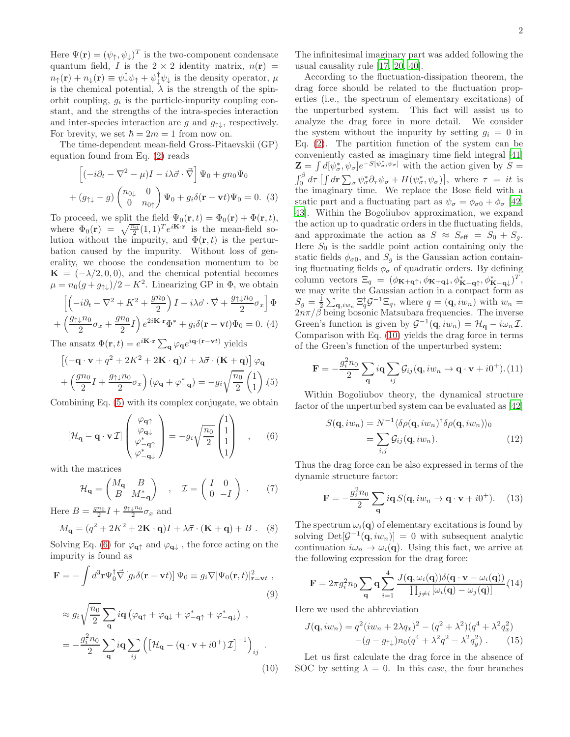Here  $\Psi(\mathbf{r}) = (\psi_{\uparrow}, \psi_{\downarrow})^T$  is the two-component condensate quantum field, I is the  $2 \times 2$  identity matrix,  $n(\mathbf{r}) =$  $n_{\uparrow}(\mathbf{r}) + n_{\downarrow}(\mathbf{r}) \equiv \psi_{\uparrow}^{\dagger} \psi_{\uparrow} + \psi_{\downarrow}^{\dagger} \psi_{\downarrow}$  is the density operator,  $\mu$ is the chemical potential,  $\lambda$  is the strength of the spinorbit coupling,  $g_i$  is the particle-impurity coupling constant, and the strengths of the intra-species interaction and inter-species interaction are g and  $g_{\uparrow\downarrow}$ , respectively. For brevity, we set  $\hbar = 2m = 1$  from now on.

The time-dependent mean-field Gross-Pitaevskii (GP) equation found from Eq. [\(2\)](#page-0-0) reads

$$
\left[(-i\partial_t - \nabla^2 - \mu)I - i\lambda\vec{\sigma}\cdot\vec{\nabla}\right]\Psi_0 + gn_0\Psi_0
$$

$$
+ (g_{\uparrow\downarrow} - g)\begin{pmatrix}n_{0\downarrow} & 0\\ 0 & n_{0\uparrow}\end{pmatrix}\Psi_0 + g_i\delta(\mathbf{r} - \mathbf{v}t)\Psi_0 = 0.
$$
 (3)

To proceed, we split the field  $\Psi_0(\mathbf{r}, t) = \Phi_0(\mathbf{r}) + \Phi(\mathbf{r}, t)$ , where  $\Phi_0(\mathbf{r}) = \sqrt{\frac{n_0}{2}} (1, 1)^T e^{i\mathbf{K} \cdot \mathbf{r}}$  is the mean-field solution without the impurity, and  $\Phi(\mathbf{r},t)$  is the perturbation caused by the impurity. Without loss of generality, we choose the condensation momentum to be  $\mathbf{K} = (-\lambda/2, 0, 0)$ , and the chemical potential becomes  $\mu = n_0(g + g_{\uparrow\downarrow})/2 - K^2$ . Linearizing GP in  $\Phi$ , we obtain

$$
\left[ \left( -i\partial_t - \nabla^2 + K^2 + \frac{gn_0}{2} \right) I - i\lambda \vec{\sigma} \cdot \vec{\nabla} + \frac{g \uparrow \downarrow n_0}{2} \sigma_x \right] \Phi
$$

$$
+ \left( \frac{g \uparrow \downarrow n_0}{2} \sigma_x + \frac{gn_0}{2} I \right) e^{2i\mathbf{K} \cdot \mathbf{r}} \Phi^* + g_i \delta(\mathbf{r} - \mathbf{v}t) \Phi_0 = 0. \tag{4}
$$

The ansatz  $\Phi(\mathbf{r},t) = e^{i\mathbf{K}\cdot\mathbf{r}} \sum_{\mathbf{q}} \varphi_{\mathbf{q}} e^{i\mathbf{q}\cdot(\mathbf{r}-\mathbf{v}t)}$  yields

<span id="page-1-0"></span>
$$
\left[ (-\mathbf{q} \cdot \mathbf{v} + q^2 + 2K^2 + 2\mathbf{K} \cdot \mathbf{q})I + \lambda \vec{\sigma} \cdot (\mathbf{K} + \mathbf{q}) \right] \varphi_{\mathbf{q}}
$$

$$
+ \left( \frac{gn_0}{2} I + \frac{g_{\uparrow \downarrow} n_0}{2} \sigma_x \right) (\varphi_{\mathbf{q}} + \varphi_{-\mathbf{q}}^*) = -g_i \sqrt{\frac{n_0}{2}} \begin{pmatrix} 1 \\ 1 \end{pmatrix} . (5)
$$

Combining Eq. [\(5\)](#page-1-0) with its complex conjugate, we obtain

<span id="page-1-1"></span>
$$
\left[\mathcal{H}_{\mathbf{q}} - \mathbf{q} \cdot \mathbf{v} \mathcal{I}\right] \begin{pmatrix} \varphi_{\mathbf{q}\uparrow} \\ \varphi_{\mathbf{q}\downarrow} \\ \varphi_{-\mathbf{q}\uparrow}^* \\ \varphi_{-\mathbf{q}\downarrow}^* \end{pmatrix} = -g_i \sqrt{\frac{n_0}{2}} \begin{pmatrix} 1 \\ 1 \\ 1 \\ 1 \end{pmatrix} , \quad (6)
$$

with the matrices

$$
\mathcal{H}_{\mathbf{q}} = \begin{pmatrix} M_{\mathbf{q}} & B \\ B & M_{-\mathbf{q}}^* \end{pmatrix} , \quad \mathcal{I} = \begin{pmatrix} I & 0 \\ 0 & -I \end{pmatrix} . \tag{7}
$$

Here  $B = \frac{gn_0}{2}I + \frac{g_{\uparrow\downarrow}n_0}{2}$  $\frac{1}{2}^{n_0}\sigma_x$  and

$$
M_{\mathbf{q}} = (q^2 + 2K^2 + 2\mathbf{K} \cdot \mathbf{q})I + \lambda \vec{\sigma} \cdot (\mathbf{K} + \mathbf{q}) + B .
$$
 (8)

Solving Eq. [\(6\)](#page-1-1) for  $\varphi_{\mathbf{q}\uparrow}$  and  $\varphi_{\mathbf{q}\downarrow}$  , the force acting on the impurity is found as

<span id="page-1-2"></span>
$$
\mathbf{F} = -\int d^3 \mathbf{r} \Psi_0^{\dagger} \vec{\nabla} \left[ g_i \delta(\mathbf{r} - \mathbf{v}t) \right] \Psi_0 \equiv g_i \nabla |\Psi_0(\mathbf{r}, t)|_{\mathbf{r} = \mathbf{v}t}^2 ,
$$
\n
$$
\approx g_i \sqrt{\frac{n_0}{2}} \sum_{\mathbf{q}} i \mathbf{q} \left( \varphi_{\mathbf{q}\uparrow} + \varphi_{\mathbf{q}\downarrow} + \varphi_{-\mathbf{q}\uparrow}^* + \varphi_{-\mathbf{q}\downarrow}^* \right) ,
$$
\n
$$
= -\frac{g_i^2 n_0}{2} \sum_{\mathbf{q}} i \mathbf{q} \sum_{ij} \left( \left[ \mathcal{H}_{\mathbf{q}} - (\mathbf{q} \cdot \mathbf{v} + i0^+) \mathcal{I} \right]^{-1} \right)_{ij} .
$$
\n(10)

The infinitesimal imaginary part was added following the usual causality rule [\[17](#page-4-16), [20,](#page-4-20) [40\]](#page-4-21).

According to the fluctuation-dissipation theorem, the drag force should be related to the fluctuation properties (i.e., the spectrum of elementary excitations) of the unperturbed system. This fact will assist us to analyze the drag force in more detail. We consider the system without the impurity by setting  $g_i = 0$  in Eq. [\(2\)](#page-0-0). The partition function of the system can be conveniently casted as imaginary time field integral [\[41](#page-4-22)]  $\mathbf{Z} = \int d[\psi_{\sigma}^*, \psi_{\sigma}]e^{-S[\psi_{\sigma}^*, \psi_{\sigma}]}$  with the action given by  $S =$  $\int_0^\beta d\tau \left[ \int d\mathbf{r} \sum_{\sigma} \psi_{\sigma}^* \partial_{\tau} \psi_{\sigma} + H(\psi_{\sigma}^*, \psi_{\sigma}) \right]$ , where  $\tau = it$  is the imaginary time. We replace the Bose field with a static part and a fluctuating part as  $\psi_{\sigma} = \phi_{\sigma 0} + \phi_{\sigma}$  [\[42](#page-4-23), [43](#page-4-24)]. Within the Bogoliubov approximation, we expand the action up to quadratic orders in the fluctuating fields, and approximate the action as  $S \approx S_{\text{eff}} = S_0 + S_g$ . Here  $S_0$  is the saddle point action containing only the static fields  $\phi_{\sigma 0}$ , and  $S_g$  is the Gaussian action containing fluctuating fields  $\phi_{\sigma}$  of quadratic orders. By defining column vectors  $\Xi_q = (\phi_{\mathbf{K}+\mathbf{q}\uparrow}, \phi_{\mathbf{K}+\mathbf{q}\downarrow}, \phi_{\mathbf{K}-\mathbf{q}\uparrow}^*, \phi_{\mathbf{K}-\mathbf{q}\downarrow}^*)^T$ , we may write the Gaussian action in a compact form as  $S_g = \frac{1}{2} \sum_{\mathbf{q}, i w_n} \Xi_q^{\dagger} \mathcal{G}^{-1} \Xi_q$ , where  $q = (\mathbf{q}, i w_n)$  with  $w_n =$  $2n\pi/\beta$  being bosonic Matsubara frequencies. The inverse Green's function is given by  $\mathcal{G}^{-1}(\mathbf{q}, i w_n) = \mathcal{H}_{\mathbf{q}} - i \omega_n \mathcal{I}$ . Comparison with Eq. [\(10\)](#page-1-2) yields the drag force in terms of the Green's function of the unperturbed system:

$$
\mathbf{F} = -\frac{g_i^2 n_0}{2} \sum_{\mathbf{q}} i\mathbf{q} \sum_{ij} \mathcal{G}_{ij}(\mathbf{q}, iw_n \to \mathbf{q} \cdot \mathbf{v} + i0^+). (11)
$$

Within Bogoliubov theory, the dynamical structure factor of the unperturbed system can be evaluated as [\[42](#page-4-23)]

$$
S(\mathbf{q}, iw_n) = N^{-1} \langle \delta \rho(\mathbf{q}, iw_n)^\dagger \delta \rho(\mathbf{q}, iw_n) \rangle_0
$$
  
= 
$$
\sum_{i,j} \mathcal{G}_{ij}(\mathbf{q}, iw_n).
$$
 (12)

Thus the drag force can be also expressed in terms of the dynamic structure factor:

$$
\mathbf{F} = -\frac{g_i^2 n_0}{2} \sum_{\mathbf{q}} i\mathbf{q} S(\mathbf{q}, i w_n \to \mathbf{q} \cdot \mathbf{v} + i0^+). \tag{13}
$$

The spectrum  $\omega_i(\mathbf{q})$  of elementary excitations is found by solving  $Det[\mathcal{G}^{-1}(\mathbf{q}, i w_n)] = 0$  with subsequent analytic continuation  $i\omega_n \to \omega_i(\mathbf{q})$ . Using this fact, we arrive at the following expression for the drag force:

<span id="page-1-3"></span>
$$
\mathbf{F} = 2\pi g_i^2 n_0 \sum_{\mathbf{q}} \mathbf{q} \sum_{i=1}^4 \frac{J(\mathbf{q}, \omega_i(\mathbf{q})) \delta(\mathbf{q} \cdot \mathbf{v} - \omega_i(\mathbf{q}))}{\prod_{j \neq i} [\omega_i(\mathbf{q}) - \omega_j(\mathbf{q})]} (14)
$$

Here we used the abbreviation

$$
J(\mathbf{q}, iw_n) = q^2(iw_n + 2\lambda q_x)^2 - (q^2 + \lambda^2)(q^4 + \lambda^2 q_x^2) - (g - g_{\uparrow\downarrow})n_0(q^4 + \lambda^2 q^2 - \lambda^2 q_y^2).
$$
 (15)

Let us first calculate the drag force in the absence of SOC by setting  $\lambda = 0$ . In this case, the four branches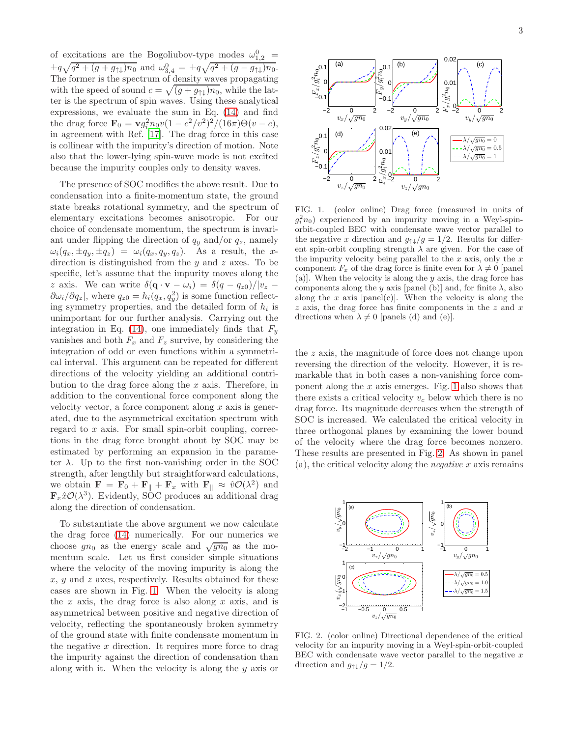of excitations are the Bogoliubov-type modes  $\omega_{1,2}^0$  =  $\pm q\sqrt{q^2 + (g + g_{\uparrow\downarrow})n_0}$  and  $\omega_{3,4}^0 = \pm q\sqrt{q^2 + (g - g_{\uparrow\downarrow})n_0}$ . The former is the spectrum of density waves propagating with the speed of sound  $c = \sqrt{(g + g_{\uparrow\downarrow})n_0}$ , while the latter is the spectrum of spin waves. Using these analytical expressions, we evaluate the sum in Eq. [\(14\)](#page-1-3) and find the drag force  $\mathbf{F}_0 = \mathbf{v} g_i^2 n_0 v (1 - c^2/v^2)^2 / (16\pi)\Theta(v - c),$ in agreement with Ref. [\[17\]](#page-4-16). The drag force in this case is collinear with the impurity's direction of motion. Note also that the lower-lying spin-wave mode is not excited because the impurity couples only to density waves.

The presence of SOC modifies the above result. Due to condensation into a finite-momentum state, the ground state breaks rotational symmetry, and the spectrum of elementary excitations becomes anisotropic. For our choice of condensate momentum, the spectrum is invariant under flipping the direction of  $q_y$  and/or  $q_z$ , namely  $\omega_i(q_x, \pm q_y, \pm q_z) = \omega_i(q_x, q_y, q_z)$ . As a result, the xdirection is distinguished from the  $y$  and  $z$  axes. To be specific, let's assume that the impurity moves along the z axis. We can write  $\delta(\mathbf{q} \cdot \mathbf{v} - \omega_i) = \delta(q - q_{z0})/|v_z - v|$  $\partial \omega_i/\partial q_z$ , where  $q_{z0} = h_i(q_x, q_y^2)$  is some function reflecting symmetry properties, and the detailed form of  $h_i$  is unimportant for our further analysis. Carrying out the integration in Eq. [\(14\)](#page-1-3), one immediately finds that  $F_y$ vanishes and both  $F_x$  and  $F_z$  survive, by considering the integration of odd or even functions within a symmetrical interval. This argument can be repeated for different directions of the velocity yielding an additional contribution to the drag force along the  $x$  axis. Therefore, in addition to the conventional force component along the velocity vector, a force component along  $x$  axis is generated, due to the asymmetrical excitation spectrum with regard to x axis. For small spin-orbit coupling, corrections in the drag force brought about by SOC may be estimated by performing an expansion in the parameter  $\lambda$ . Up to the first non-vanishing order in the SOC strength, after lengthly but straightforward calculations, we obtain  $\mathbf{F} = \mathbf{F}_0 + \mathbf{F}_{\parallel} + \mathbf{F}_x$  with  $\mathbf{F}_{\parallel} \approx \hat{v}\mathcal{O}(\lambda^2)$  and  $\mathbf{F}_x\hat{x}\mathcal{O}(\lambda^3)$ . Evidently, SOC produces an additional drag along the direction of condensation.

To substantiate the above argument we now calculate the drag force [\(14\)](#page-1-3) numerically. For our numerics we choose  $g n_0$  as the energy scale and  $\sqrt{gn_0}$  as the momentum scale. Let us first consider simple situations where the velocity of the moving impurity is along the  $x, y$  and z axes, respectively. Results obtained for these cases are shown in Fig. [1.](#page-2-0) When the velocity is along the x axis, the drag force is also along x axis, and is asymmetrical between positive and negative direction of velocity, reflecting the spontaneously broken symmetry of the ground state with finite condensate momentum in the negative  $x$  direction. It requires more force to drag the impurity against the direction of condensation than along with it. When the velocity is along the  $y$  axis or



<span id="page-2-0"></span>FIG. 1. (color online) Drag force (measured in units of  $g_i^2 n_0$ ) experienced by an impurity moving in a Weyl-spinorbit-coupled BEC with condensate wave vector parallel to the negative x direction and  $g_{\uparrow\downarrow}/g = 1/2$ . Results for different spin-orbit coupling strength  $\lambda$  are given. For the case of the impurity velocity being parallel to the  $x$  axis, only the  $x$ component  $F_x$  of the drag force is finite even for  $\lambda \neq 0$  [panel (a)]. When the velocity is along the  $y$  axis, the drag force has components along the y axis [panel (b)] and, for finite  $\lambda$ , also along the x axis [panel(c)]. When the velocity is along the  $z$  axis, the drag force has finite components in the  $z$  and  $x$ directions when  $\lambda \neq 0$  [panels (d) and (e)].

the z axis, the magnitude of force does not change upon reversing the direction of the velocity. However, it is remarkable that in both cases a non-vanishing force component along the  $x$  axis emerges. Fig. [1](#page-2-0) also shows that there exists a critical velocity  $v_c$  below which there is no drag force. Its magnitude decreases when the strength of SOC is increased. We calculated the critical velocity in three orthogonal planes by examining the lower bound of the velocity where the drag force becomes nonzero. These results are presented in Fig. [2.](#page-2-1) As shown in panel  $(a)$ , the critical velocity along the *negative* x axis remains



<span id="page-2-1"></span>FIG. 2. (color online) Directional dependence of the critical velocity for an impurity moving in a Weyl-spin-orbit-coupled BEC with condensate wave vector parallel to the negative  $x$ direction and  $g_{\uparrow\downarrow}/g = 1/2$ .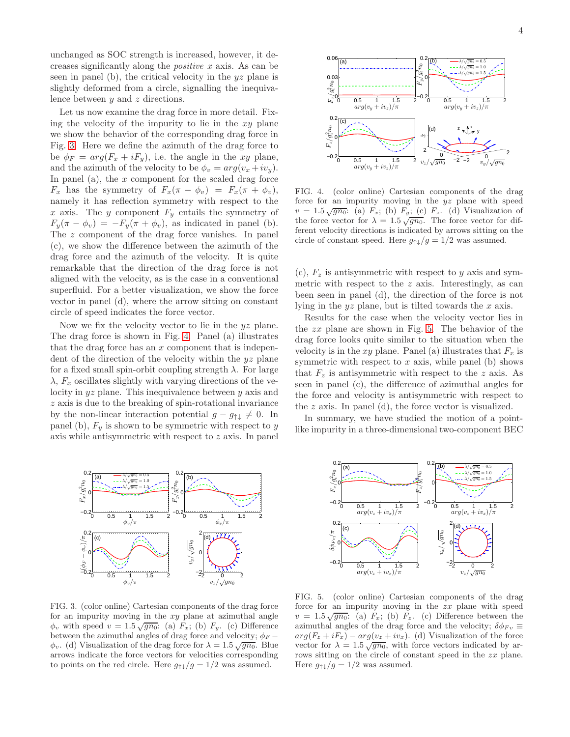unchanged as SOC strength is increased, however, it decreases significantly along the positive x axis. As can be seen in panel (b), the critical velocity in the  $yz$  plane is slightly deformed from a circle, signalling the inequivalence between  $y$  and  $z$  directions.

Let us now examine the drag force in more detail. Fixing the velocity of the impurity to lie in the  $xy$  plane we show the behavior of the corresponding drag force in Fig. [3.](#page-3-0) Here we define the azimuth of the drag force to be  $\phi_F = arg(F_x + iF_y)$ , i.e. the angle in the xy plane, and the azimuth of the velocity to be  $\phi_v = arg(v_x + iv_y)$ . In panel (a), the  $x$  component for the scaled drag force  $F_x$  has the symmetry of  $F_x(\pi - \phi_v) = F_x(\pi + \phi_v)$ , namely it has reflection symmetry with respect to the x axis. The y component  $F_y$  entails the symmetry of  $F_y(\pi - \phi_v) = -F_y(\pi + \phi_v)$ , as indicated in panel (b). The z component of the drag force vanishes. In panel (c), we show the difference between the azimuth of the drag force and the azimuth of the velocity. It is quite remarkable that the direction of the drag force is not aligned with the velocity, as is the case in a conventional superfluid. For a better visualization, we show the force vector in panel (d), where the arrow sitting on constant circle of speed indicates the force vector.

Now we fix the velocity vector to lie in the  $yz$  plane. The drag force is shown in Fig. [4.](#page-3-1) Panel (a) illustrates that the drag force has an  $x$  component that is independent of the direction of the velocity within the  $yz$  plane for a fixed small spin-orbit coupling strength  $\lambda$ . For large  $\lambda$ ,  $F_x$  oscillates slightly with varying directions of the velocity in yz plane. This inequivalence between y axis and z axis is due to the breaking of spin-rotational invariance by the non-linear interaction potential  $g - g_{\uparrow\downarrow} \neq 0$ . In panel (b),  $F_y$  is shown to be symmetric with respect to y axis while antisymmetric with respect to z axis. In panel



<span id="page-3-0"></span>FIG. 3. (color online) Cartesian components of the drag force for an impurity moving in the  $xy$  plane at azimuthal angle  $\phi_v$  with speed  $v = 1.5 \sqrt{gn_0}$ : (a)  $F_x$ ; (b)  $F_y$ . (c) Difference between the azimuthal angles of drag force and velocity;  $\phi_F$  –  $\phi_v$ . (d) Visualization of the drag force for  $\lambda = 1.5 \sqrt{gn_0}$ . Blue arrows indicate the force vectors for velocities corresponding to points on the red circle. Here  $g_{\uparrow\downarrow}/g = 1/2$  was assumed.



<span id="page-3-1"></span>FIG. 4. (color online) Cartesian components of the drag force for an impurity moving in the yz plane with speed  $v = 1.5\sqrt{gn_0}$ : (a)  $F_x$ ; (b)  $F_y$ ; (c)  $F_z$ . (d) Visualization of the force vector for  $\lambda = 1.5 \sqrt{gn_0}$ . The force vector for different velocity directions is indicated by arrows sitting on the circle of constant speed. Here  $g_{\uparrow\downarrow}/g = 1/2$  was assumed.

(c),  $F_z$  is antisymmetric with respect to y axis and symmetric with respect to the  $z$  axis. Interestingly, as can been seen in panel (d), the direction of the force is not lying in the  $yz$  plane, but is tilted towards the  $x$  axis.

Results for the case when the velocity vector lies in the  $zx$  plane are shown in Fig. [5.](#page-3-2) The behavior of the drag force looks quite similar to the situation when the velocity is in the xy plane. Panel (a) illustrates that  $F_x$  is symmetric with respect to  $x$  axis, while panel (b) shows that  $F_z$  is antisymmetric with respect to the z axis. As seen in panel (c), the difference of azimuthal angles for the force and velocity is antisymmetric with respect to the z axis. In panel (d), the force vector is visualized.

In summary, we have studied the motion of a pointlike impurity in a three-dimensional two-component BEC



<span id="page-3-2"></span>FIG. 5. (color online) Cartesian components of the drag force for an impurity moving in the zx plane with speed  $v = 1.5\sqrt{gn_0}$ : (a)  $F_x$ ; (b)  $F_z$ . (c) Difference between the azimuthal angles of the drag force and the velocity;  $\delta \phi_{Fv} \equiv$  $arg(F_z + iF_x) - arg(v_z + iv_x)$ . (d) Visualization of the force vector for  $\lambda = 1.5 \sqrt{gn_0}$ , with force vectors indicated by arrows sitting on the circle of constant speed in the zx plane. Here  $g_{\uparrow\downarrow}/g = 1/2$  was assumed.